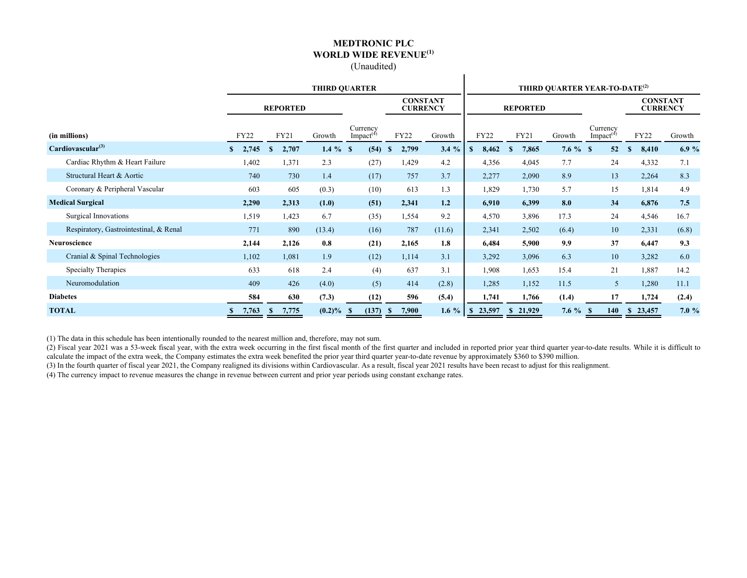#### **MEDTRONIC PLC WORLD WIDE REVENUE(1)** (Unaudited)

 $\mathbf{I}$ 

|                                        | <b>THIRD OUARTER</b> |                       |             |                                   |                                    |         | THIRD QUARTER YEAR-TO-DATE <sup>(2)</sup> |                         |             |                                   |                                    |        |  |  |
|----------------------------------------|----------------------|-----------------------|-------------|-----------------------------------|------------------------------------|---------|-------------------------------------------|-------------------------|-------------|-----------------------------------|------------------------------------|--------|--|--|
|                                        |                      | <b>REPORTED</b>       |             |                                   | <b>CONSTANT</b><br><b>CURRENCY</b> |         |                                           | <b>REPORTED</b>         |             |                                   | <b>CONSTANT</b><br><b>CURRENCY</b> |        |  |  |
| (in millions)                          | FY22                 | FY21                  | Growth      | Currency<br>Impact <sup>(4)</sup> | <b>FY22</b>                        | Growth  | FY22                                      | FY21                    | Growth      | Currency<br>Impact <sup>(4)</sup> | FY22                               | Growth |  |  |
| Cardiovascular <sup>(3)</sup>          | 2,745<br>S.          | 2,707<br><sup>S</sup> | $1.4 \%$ \$ | (54)                              | 2,799<br>$\mathbf{s}$              | 3.4%    | 8,462<br>S                                | 7,865<br><sup>\$</sup>  | $7.6 \%$ \$ | 52                                | 8,410<br><sup>\$</sup>             | 6.9%   |  |  |
| Cardiac Rhythm & Heart Failure         | 1,402                | 1,371                 | 2.3         | (27)                              | 1,429                              | 4.2     | 4,356                                     | 4,045                   | 7.7         | 24                                | 4,332                              | 7.1    |  |  |
| Structural Heart & Aortic              | 740                  | 730                   | 1.4         | (17)                              | 757                                | 3.7     | 2,277                                     | 2,090                   | 8.9         | 13                                | 2,264                              | 8.3    |  |  |
| Coronary & Peripheral Vascular         | 603                  | 605                   | (0.3)       | (10)                              | 613                                | 1.3     | 1,829                                     | 1,730                   | 5.7         | 15                                | 1,814                              | 4.9    |  |  |
| <b>Medical Surgical</b>                | 2,290                | 2,313                 | (1.0)       | (51)                              | 2,341                              | 1.2     | 6,910                                     | 6,399                   | 8.0         | 34                                | 6,876                              | 7.5    |  |  |
| Surgical Innovations                   | 1,519                | 1,423                 | 6.7         | (35)                              | 1,554                              | 9.2     | 4,570                                     | 3,896                   | 17.3        | 24                                | 4,546                              | 16.7   |  |  |
| Respiratory, Gastrointestinal, & Renal | 771                  | 890                   | (13.4)      | (16)                              | 787                                | (11.6)  | 2,341                                     | 2,502                   | (6.4)       | 10                                | 2,331                              | (6.8)  |  |  |
| Neuroscience                           | 2,144                | 2,126                 | 0.8         | (21)                              | 2,165                              | 1.8     | 6,484                                     | 5,900                   | 9.9         | 37                                | 6,447                              | 9.3    |  |  |
| Cranial & Spinal Technologies          | 1,102                | 1,081                 | 1.9         | (12)                              | 1,114                              | 3.1     | 3,292                                     | 3,096                   | 6.3         | 10                                | 3,282                              | 6.0    |  |  |
| Specialty Therapies                    | 633                  | 618                   | 2.4         | (4)                               | 637                                | 3.1     | 1,908                                     | 1,653                   | 15.4        | 21                                | 1,887                              | 14.2   |  |  |
| Neuromodulation                        | 409                  | 426                   | (4.0)       | (5)                               | 414                                | (2.8)   | 1,285                                     | 1,152                   | 11.5        | 5                                 | 1,280                              | 11.1   |  |  |
| <b>Diabetes</b>                        | 584                  | 630                   | (7.3)       | (12)                              | 596                                | (5.4)   | 1,741                                     | 1,766                   | (1.4)       | 17                                | 1,724                              | (2.4)  |  |  |
| <b>TOTAL</b>                           | 7,763                | 7,775<br>-S           | $(0.2)\%$   | (137)                             | 7,900<br>- 5                       | 1.6 $%$ | 23,597                                    | 21,929<br><sup>\$</sup> | $7.6\%$     | 140                               | 23,457<br>$\mathbf{s}$             | 7.0%   |  |  |

(1) The data in this schedule has been intentionally rounded to the nearest million and, therefore, may not sum.

(2) Fiscal year 2021 was a 53-week fiscal year, with the extra week occurring in the first fiscal month of the first quarter and included in reported prior year third quarter year-to-date results. While it is difficult to calculate the impact of the extra week, the Company estimates the extra week benefited the prior year third quarter year-to-date revenue by approximately \$360 to \$390 million.

(3) In the fourth quarter of fiscal year 2021, the Company realigned its divisions within Cardiovascular. As a result, fiscal year 2021 results have been recast to adjust for this realignment.

(4) The currency impact to revenue measures the change in revenue between current and prior year periods using constant exchange rates.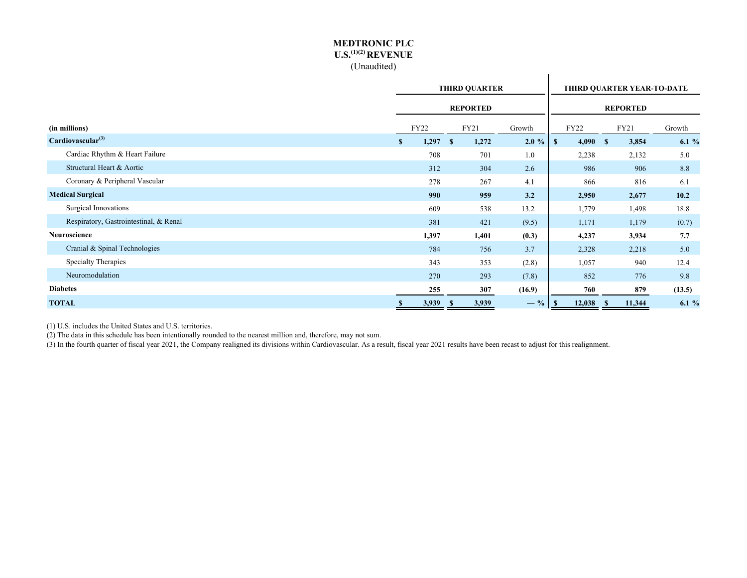#### **MEDTRONIC PLC U.S.(1)(2) REVENUE** (Unaudited)

|                                        | <b>THIRD QUARTER</b> |       |    |                 |          | THIRD QUARTER YEAR-TO-DATE |             |  |                 |         |  |
|----------------------------------------|----------------------|-------|----|-----------------|----------|----------------------------|-------------|--|-----------------|---------|--|
|                                        |                      |       |    | <b>REPORTED</b> |          |                            |             |  | <b>REPORTED</b> |         |  |
| (in millions)                          |                      | FY22  |    | FY21            | Growth   |                            | <b>FY22</b> |  | FY21            | Growth  |  |
| Cardiovascular <sup>(3)</sup>          | \$                   | 1,297 | -S | 1,272           | $2.0 \%$ | $\mathbf{s}$               | 4,090 S     |  | 3,854           | 6.1 $%$ |  |
| Cardiac Rhythm & Heart Failure         |                      | 708   |    | 701             | 1.0      |                            | 2,238       |  | 2,132           | 5.0     |  |
| Structural Heart & Aortic              |                      | 312   |    | 304             | 2.6      |                            | 986         |  | 906             | 8.8     |  |
| Coronary & Peripheral Vascular         |                      | 278   |    | 267             | 4.1      |                            | 866         |  | 816             | 6.1     |  |
| <b>Medical Surgical</b>                |                      | 990   |    | 959             | 3.2      |                            | 2,950       |  | 2,677           | 10.2    |  |
| Surgical Innovations                   |                      | 609   |    | 538             | 13.2     |                            | 1,779       |  | 1,498           | 18.8    |  |
| Respiratory, Gastrointestinal, & Renal |                      | 381   |    | 421             | (9.5)    |                            | 1,171       |  | 1,179           | (0.7)   |  |
| Neuroscience                           |                      | 1,397 |    | 1,401           | (0.3)    |                            | 4,237       |  | 3,934           | 7.7     |  |
| Cranial & Spinal Technologies          |                      | 784   |    | 756             | 3.7      |                            | 2,328       |  | 2,218           | 5.0     |  |
| Specialty Therapies                    |                      | 343   |    | 353             | (2.8)    |                            | 1,057       |  | 940             | 12.4    |  |
| Neuromodulation                        |                      | 270   |    | 293             | (7.8)    |                            | 852         |  | 776             | 9.8     |  |
| <b>Diabetes</b>                        |                      | 255   |    | 307             | (16.9)   |                            | 760         |  | 879             | (13.5)  |  |
| <b>TOTAL</b>                           |                      | 3,939 |    | 3,939           | $-$ %    | -S                         | 12,038      |  | 11,344          | 6.1%    |  |

(1) U.S. includes the United States and U.S. territories.

(2) The data in this schedule has been intentionally rounded to the nearest million and, therefore, may not sum.

(3) In the fourth quarter of fiscal year 2021, the Company realigned its divisions within Cardiovascular. As a result, fiscal year 2021 results have been recast to adjust for this realignment.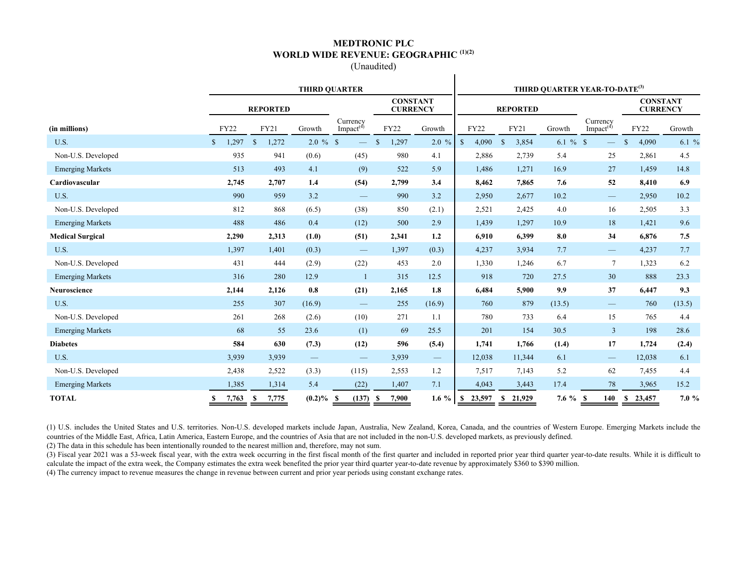#### **MEDTRONIC PLC WORLD WIDE REVENUE: GEOGRAPHIC (1)(2)**

(Unaudited)

 $\mathbf{I}$ 

|                         | <b>THIRD QUARTER</b>  |                             |                          |                                   |                                    |                          | THIRD QUARTER YEAR-TO-DATE <sup>(3)</sup> |                        |             |                                   |                                    |          |  |  |
|-------------------------|-----------------------|-----------------------------|--------------------------|-----------------------------------|------------------------------------|--------------------------|-------------------------------------------|------------------------|-------------|-----------------------------------|------------------------------------|----------|--|--|
|                         |                       | <b>REPORTED</b>             |                          |                                   | <b>CONSTANT</b><br><b>CURRENCY</b> |                          |                                           | <b>REPORTED</b>        |             |                                   | <b>CONSTANT</b><br><b>CURRENCY</b> |          |  |  |
| (in millions)           | <b>FY22</b>           | FY21                        | Growth                   | Currency<br>Impact <sup>(4)</sup> | <b>FY22</b>                        | Growth                   | <b>FY22</b>                               | FY21                   | Growth      | Currency<br>Impact <sup>(4)</sup> | <b>FY22</b>                        | Growth   |  |  |
| U.S.                    | 1,297<br>$\mathbb{S}$ | $\mathbf{\hat{s}}$<br>1,272 | $2.0 \%$ \$              | $\overline{\phantom{0}}$          | $\mathcal{S}$<br>1,297             | $2.0 \%$                 | $\mathbf S$<br>4,090                      | $\mathsf{\$}$<br>3,854 | 6.1 $%$ \$  | $\overline{\phantom{0}}$          | $\mathbf S$<br>4,090               | 6.1%     |  |  |
| Non-U.S. Developed      | 935                   | 941                         | (0.6)                    | (45)                              | 980                                | 4.1                      | 2,886                                     | 2,739                  | 5.4         | 25                                | 2,861                              | 4.5      |  |  |
| <b>Emerging Markets</b> | 513                   | 493                         | 4.1                      | (9)                               | 522                                | 5.9                      | 1,486                                     | 1,271                  | 16.9        | 27                                | 1,459                              | 14.8     |  |  |
| Cardiovascular          | 2,745                 | 2,707                       | 1.4                      | (54)                              | 2,799                              | 3.4                      | 8,462                                     | 7,865                  | 7.6         | 52                                | 8,410                              | 6.9      |  |  |
| U.S.                    | 990                   | 959                         | 3.2                      | $\overline{\phantom{m}}$          | 990                                | 3.2                      | 2,950                                     | 2,677                  | 10.2        | -                                 | 2,950                              | 10.2     |  |  |
| Non-U.S. Developed      | 812                   | 868                         | (6.5)                    | (38)                              | 850                                | (2.1)                    | 2,521                                     | 2,425                  | 4.0         | 16                                | 2,505                              | 3.3      |  |  |
| <b>Emerging Markets</b> | 488                   | 486                         | 0.4                      | (12)                              | 500                                | 2.9                      | 1,439                                     | 1,297                  | 10.9        | 18                                | 1,421                              | 9.6      |  |  |
| <b>Medical Surgical</b> | 2,290                 | 2,313                       | (1.0)                    | (51)                              | 2,341                              | 1.2                      | 6,910                                     | 6,399                  | 8.0         | 34                                | 6,876                              | 7.5      |  |  |
| U.S.                    | 1,397                 | 1,401                       | (0.3)                    | $\hspace{0.1mm}-\hspace{0.1mm}$   | 1,397                              | (0.3)                    | 4,237                                     | 3,934                  | 7.7         | $\overline{\phantom{0}}$          | 4,237                              | 7.7      |  |  |
| Non-U.S. Developed      | 431                   | 444                         | (2.9)                    | (22)                              | 453                                | 2.0                      | 1,330                                     | 1,246                  | 6.7         | $7\phantom{.0}$                   | 1,323                              | 6.2      |  |  |
| <b>Emerging Markets</b> | 316                   | 280                         | 12.9                     | $\mathbf{1}$                      | 315                                | 12.5                     | 918                                       | 720                    | 27.5        | 30                                | 888                                | 23.3     |  |  |
| Neuroscience            | 2,144                 | 2,126                       | 0.8                      | (21)                              | 2,165                              | 1.8                      | 6,484                                     | 5,900                  | 9.9         | 37                                | 6,447                              | 9.3      |  |  |
| U.S.                    | 255                   | 307                         | (16.9)                   | $\overline{\phantom{m}}$          | 255                                | (16.9)                   | 760                                       | 879                    | (13.5)      |                                   | 760                                | (13.5)   |  |  |
| Non-U.S. Developed      | 261                   | 268                         | (2.6)                    | (10)                              | 271                                | 1.1                      | 780                                       | 733                    | 6.4         | 15                                | 765                                | 4.4      |  |  |
| <b>Emerging Markets</b> | 68                    | 55                          | 23.6                     | (1)                               | 69                                 | 25.5                     | 201                                       | 154                    | 30.5        | $\overline{3}$                    | 198                                | 28.6     |  |  |
| <b>Diabetes</b>         | 584                   | 630                         | (7.3)                    | (12)                              | 596                                | (5.4)                    | 1,741                                     | 1,766                  | (1.4)       | 17                                | 1,724                              | (2.4)    |  |  |
| U.S.                    | 3.939                 | 3.939                       | $\overline{\phantom{m}}$ | $\qquad \qquad -$                 | 3,939                              | $\overline{\phantom{m}}$ | 12,038                                    | 11,344                 | 6.1         | $\qquad \qquad -$                 | 12,038                             | 6.1      |  |  |
| Non-U.S. Developed      | 2,438                 | 2,522                       | (3.3)                    | (115)                             | 2,553                              | 1.2                      | 7,517                                     | 7,143                  | 5.2         | 62                                | 7,455                              | 4.4      |  |  |
| <b>Emerging Markets</b> | 1,385                 | 1,314                       | 5.4                      | (22)                              | 1,407                              | 7.1                      | 4,043                                     | 3,443                  | 17.4        | 78                                | 3,965                              | 15.2     |  |  |
| <b>TOTAL</b>            | 7,763<br>S            | - \$<br>7,775               | $(0.2)\%$ \$             | (137)                             | 7,900<br>- \$                      | $1.6\%$                  | 23,597<br>S,                              | \$21,929               | $7.6 \%$ \$ | 140                               | 23,457<br>S.                       | $7.0 \%$ |  |  |

(1) U.S. includes the United States and U.S. territories. Non-U.S. developed markets include Japan, Australia, New Zealand, Korea, Canada, and the countries of Western Europe. Emerging Markets include the countries of the Middle East, Africa, Latin America, Eastern Europe, and the countries of Asia that are not included in the non-U.S. developed markets, as previously defined.

(2) The data in this schedule has been intentionally rounded to the nearest million and, therefore, may not sum.

(3) Fiscal year 2021 was a 53-week fiscal year, with the extra week occurring in the first fiscal month of the first quarter and included in reported prior year third quarter year-to-date results. While it is difficult to calculate the impact of the extra week, the Company estimates the extra week benefited the prior year third quarter year-to-date revenue by approximately \$360 to \$390 million. (4) The currency impact to revenue measures the change in revenue between current and prior year periods using constant exchange rates.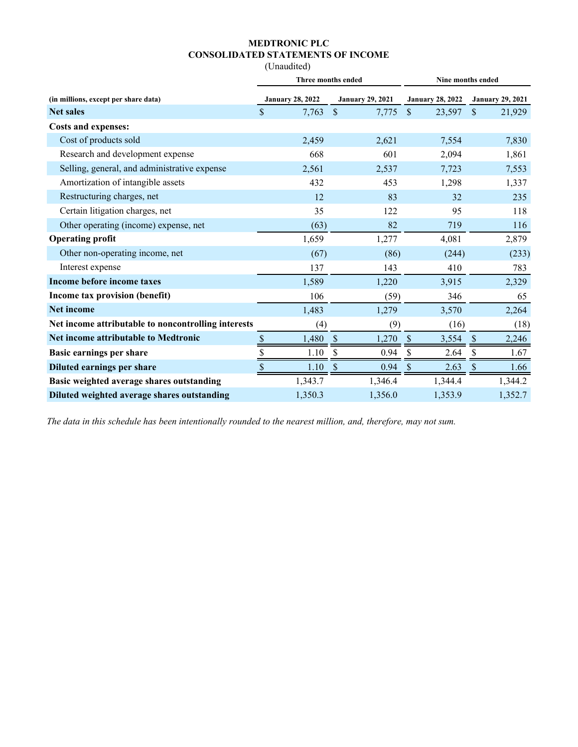# **MEDTRONIC PLC CONSOLIDATED STATEMENTS OF INCOME**

(Unaudited)

|                         |                             | Nine months ended       |                                    |  |  |  |  |
|-------------------------|-----------------------------|-------------------------|------------------------------------|--|--|--|--|
| <b>January 28, 2022</b> | <b>January 29, 2021</b>     | <b>January 28, 2022</b> | <b>January 29, 2021</b>            |  |  |  |  |
| \$<br>7,763             | $\mathcal{S}$<br>7,775      | $\mathbb{S}$<br>23,597  | $\mathbf{\hat{S}}$<br>21,929       |  |  |  |  |
|                         |                             |                         |                                    |  |  |  |  |
| 2,459                   | 2,621                       | 7,554                   | 7,830                              |  |  |  |  |
| 668                     | 601                         | 2,094                   | 1,861                              |  |  |  |  |
| 2,561                   | 2,537                       | 7,723                   | 7,553                              |  |  |  |  |
| 432                     | 453                         | 1,298                   | 1,337                              |  |  |  |  |
| 12                      | 83                          | 32                      | 235                                |  |  |  |  |
| 35                      | 122                         | 95                      | 118                                |  |  |  |  |
| (63)                    | 82                          | 719                     | 116                                |  |  |  |  |
| 1,659                   | 1,277                       | 4,081                   | 2,879                              |  |  |  |  |
| (67)                    | (86)                        | (244)                   | (233)                              |  |  |  |  |
| 137                     | 143                         | 410                     | 783                                |  |  |  |  |
| 1,589                   | 1,220                       | 3,915                   | 2,329                              |  |  |  |  |
| 106                     | (59)                        | 346                     | 65                                 |  |  |  |  |
| 1,483                   | 1,279                       | 3,570                   | 2,264                              |  |  |  |  |
| (4)                     | (9)                         | (16)                    | (18)                               |  |  |  |  |
| 1,480                   | \$<br>1,270                 | $\mathcal{S}$<br>3,554  | $\boldsymbol{\mathsf{S}}$<br>2,246 |  |  |  |  |
| \$<br>1.10              | \$<br>0.94                  | $\mathcal{S}$<br>2.64   | \$<br>1.67                         |  |  |  |  |
| \$<br>1.10              | \$<br>0.94                  | \$<br>2.63              | \$<br>1.66                         |  |  |  |  |
| 1,343.7                 | 1,346.4                     | 1,344.4                 | 1,344.2                            |  |  |  |  |
| 1,350.3                 | 1,356.0                     | 1,353.9                 | 1,352.7                            |  |  |  |  |
|                         | $\frac{\text{S}}{\text{S}}$ | Three months ended      |                                    |  |  |  |  |

*The data in this schedule has been intentionally rounded to the nearest million, and, therefore, may not sum.*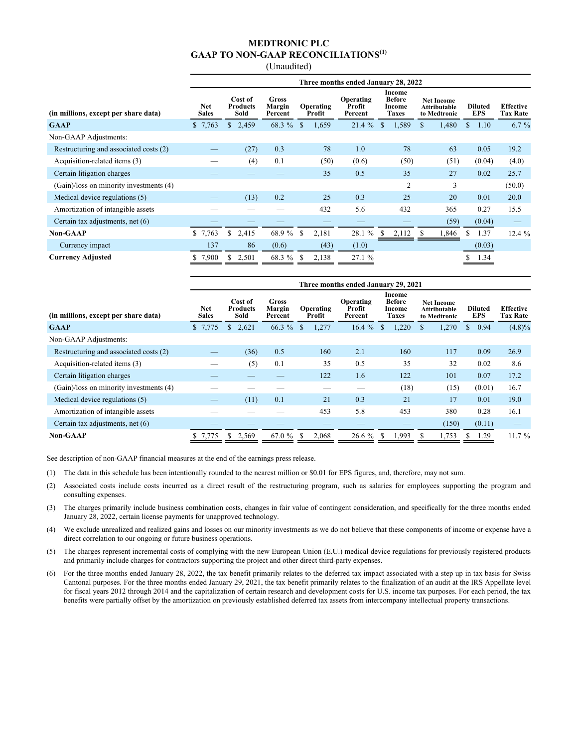(Unaudited)

|                                         | Three months ended January 28, 2022 |                                    |                                   |                                                                                                            |          |                                                          |                              |                                     |          |  |  |  |
|-----------------------------------------|-------------------------------------|------------------------------------|-----------------------------------|------------------------------------------------------------------------------------------------------------|----------|----------------------------------------------------------|------------------------------|-------------------------------------|----------|--|--|--|
| (in millions, except per share data)    | Net<br><b>Sales</b>                 | Cost of<br><b>Products</b><br>Sold | <b>Gross</b><br>Margin<br>Percent | Income<br><b>Before</b><br>Operating<br>Profit<br>Operating<br>Income<br><b>Taxes</b><br>Profit<br>Percent |          | <b>Net Income</b><br><b>Attributable</b><br>to Medtronic | <b>Diluted</b><br><b>EPS</b> | <b>Effective</b><br><b>Tax Rate</b> |          |  |  |  |
| <b>GAAP</b>                             | \$7,763                             | 2,459<br>\$                        | 68.3 %                            | <sup>\$</sup><br>1,659                                                                                     | $21.4\%$ | 1,589<br><sup>\$</sup>                                   | 1,480<br>\$.                 | \$<br>1.10                          | $6.7 \%$ |  |  |  |
| Non-GAAP Adjustments:                   |                                     |                                    |                                   |                                                                                                            |          |                                                          |                              |                                     |          |  |  |  |
| Restructuring and associated costs (2)  |                                     | (27)                               | 0.3                               | 78                                                                                                         | 1.0      | 78                                                       | 63                           | 0.05                                | 19.2     |  |  |  |
| Acquisition-related items (3)           |                                     | (4)                                | 0.1                               | (50)                                                                                                       | (0.6)    | (50)                                                     | (51)                         | (0.04)                              | (4.0)    |  |  |  |
| Certain litigation charges              |                                     |                                    |                                   | 35                                                                                                         | 0.5      | 35                                                       | 27                           | 0.02                                | 25.7     |  |  |  |
| (Gain)/loss on minority investments (4) |                                     |                                    |                                   |                                                                                                            |          | 2                                                        | 3                            |                                     | (50.0)   |  |  |  |
| Medical device regulations (5)          |                                     | (13)                               | 0.2                               | 25                                                                                                         | 0.3      | 25                                                       | 20                           | 0.01                                | 20.0     |  |  |  |
| Amortization of intangible assets       |                                     |                                    |                                   | 432                                                                                                        | 5.6      | 432                                                      | 365                          | 0.27                                | 15.5     |  |  |  |
| Certain tax adjustments, net (6)        |                                     |                                    |                                   |                                                                                                            |          |                                                          | (59)                         | (0.04)                              |          |  |  |  |
| <b>Non-GAAP</b>                         | \$7,763                             | S.<br>2,415                        | 68.9 %                            | <sup>\$</sup><br>2,181                                                                                     | 28.1 %   | 2,112<br>-S                                              | 1,846<br>-SS                 | \$<br>1.37                          | 12.4%    |  |  |  |
| Currency impact                         | 137                                 | 86                                 | (0.6)                             | (43)                                                                                                       | (1.0)    |                                                          |                              | (0.03)                              |          |  |  |  |
| <b>Currency Adjusted</b>                | 7,900                               | 2,501                              | 68.3 %                            | 2,138<br>\$.                                                                                               | 27.1 %   |                                                          |                              | 1.34                                |          |  |  |  |

|                                         | Three months ended January 29, 2021 |                                    |                                   |                     |                                |                                                   |                                                   |                              |                                     |  |  |  |
|-----------------------------------------|-------------------------------------|------------------------------------|-----------------------------------|---------------------|--------------------------------|---------------------------------------------------|---------------------------------------------------|------------------------------|-------------------------------------|--|--|--|
| (in millions, except per share data)    | <b>Net</b><br><b>Sales</b>          | Cost of<br><b>Products</b><br>Sold | <b>Gross</b><br>Margin<br>Percent | Operating<br>Profit | Operating<br>Profit<br>Percent | Income<br><b>Before</b><br>Income<br><b>Taxes</b> | <b>Net Income</b><br>Attributable<br>to Medtronic | <b>Diluted</b><br><b>EPS</b> | <b>Effective</b><br><b>Tax Rate</b> |  |  |  |
| <b>GAAP</b>                             | \$7,775                             | 2,621<br>\$.                       | 66.3 %                            | 1,277<br>S          | $16.4 \%$                      | 1,220<br>-S                                       | 1,270<br>S                                        | 0.94<br>\$                   | $(4.8)\%$                           |  |  |  |
| Non-GAAP Adjustments:                   |                                     |                                    |                                   |                     |                                |                                                   |                                                   |                              |                                     |  |  |  |
| Restructuring and associated costs (2)  |                                     | (36)                               | 0.5                               | 160                 | 2.1                            | 160                                               | 117                                               | 0.09                         | 26.9                                |  |  |  |
| Acquisition-related items (3)           |                                     | (5)                                | 0.1                               | 35                  | 0.5                            | 35                                                | 32                                                | 0.02                         | 8.6                                 |  |  |  |
| Certain litigation charges              |                                     |                                    |                                   | 122                 | 1.6                            | 122                                               | 101                                               | 0.07                         | 17.2                                |  |  |  |
| (Gain)/loss on minority investments (4) |                                     |                                    |                                   |                     |                                | (18)                                              | (15)                                              | (0.01)                       | 16.7                                |  |  |  |
| Medical device regulations (5)          |                                     | (11)                               | 0.1                               | 21                  | 0.3                            | 21                                                | 17                                                | 0.01                         | 19.0                                |  |  |  |
| Amortization of intangible assets       |                                     |                                    |                                   | 453                 | 5.8                            | 453                                               | 380                                               | 0.28                         | 16.1                                |  |  |  |
| Certain tax adjustments, net (6)        |                                     |                                    |                                   |                     |                                |                                                   | (150)                                             | (0.11)                       |                                     |  |  |  |
| <b>Non-GAAP</b>                         | 7,775                               | 2,569<br>S                         | 67.0 %                            | 2,068<br>-S         | 26.6 %                         | 1,993<br>-S                                       | 1,753                                             | 1.29                         | 11.7%                               |  |  |  |

See description of non-GAAP financial measures at the end of the earnings press release.

- (1) The data in this schedule has been intentionally rounded to the nearest million or \$0.01 for EPS figures, and, therefore, may not sum.
- (2) Associated costs include costs incurred as a direct result of the restructuring program, such as salaries for employees supporting the program and consulting expenses.
- (3) The charges primarily include business combination costs, changes in fair value of contingent consideration, and specifically for the three months ended January 28, 2022, certain license payments for unapproved technology.
- (4) We exclude unrealized and realized gains and losses on our minority investments as we do not believe that these components of income or expense have a direct correlation to our ongoing or future business operations.
- (5) The charges represent incremental costs of complying with the new European Union (E.U.) medical device regulations for previously registered products and primarily include charges for contractors supporting the project and other direct third-party expenses.
- (6) For the three months ended January 28, 2022, the tax benefit primarily relates to the deferred tax impact associated with a step up in tax basis for Swiss Cantonal purposes. For the three months ended January 29, 2021, the tax benefit primarily relates to the finalization of an audit at the IRS Appellate level for fiscal years 2012 through 2014 and the capitalization of certain research and development costs for U.S. income tax purposes. For each period, the tax benefits were partially offset by the amortization on previously established deferred tax assets from intercompany intellectual property transactions.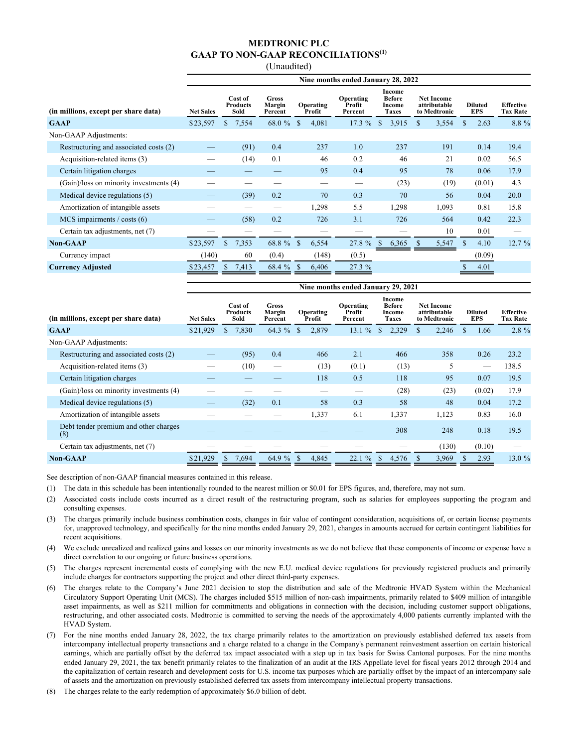(Unaudited)

|                                         | Nine months ended January 28, 2022 |             |                                                                 |                        |                                       |                                                          |                                                   |                       |                                     |  |  |
|-----------------------------------------|------------------------------------|-------------|-----------------------------------------------------------------|------------------------|---------------------------------------|----------------------------------------------------------|---------------------------------------------------|-----------------------|-------------------------------------|--|--|
| (in millions, except per share data)    | <b>Net Sales</b><br>Sold           |             | <b>Gross</b><br>Cost of<br><b>Products</b><br>Margin<br>Percent |                        | <b>Operating</b><br>Profit<br>Percent | <b>Income</b><br><b>Before</b><br>Income<br><b>Taxes</b> | <b>Net Income</b><br>attributable<br>to Medtronic | <b>Diluted</b><br>EPS | <b>Effective</b><br><b>Tax Rate</b> |  |  |
| <b>GAAP</b>                             | \$23,597                           | 7,554<br>\$ | $68.0 \%$ \$                                                    | 4,081                  | 17.3%                                 | <sup>\$</sup><br>3,915                                   | 3,554<br>\$                                       | 2.63<br>S.            | 8.8 %                               |  |  |
| Non-GAAP Adjustments:                   |                                    |             |                                                                 |                        |                                       |                                                          |                                                   |                       |                                     |  |  |
| Restructuring and associated costs (2)  |                                    | (91)        | 0.4                                                             | 237                    | 1.0                                   | 237                                                      | 191                                               | 0.14                  | 19.4                                |  |  |
| Acquisition-related items (3)           |                                    | (14)        | 0.1                                                             | 46                     | 0.2                                   | 46                                                       | 21                                                | 0.02                  | 56.5                                |  |  |
| Certain litigation charges              |                                    |             |                                                                 | 95                     | 0.4                                   | 95                                                       | 78                                                | 0.06                  | 17.9                                |  |  |
| (Gain)/loss on minority investments (4) |                                    |             |                                                                 |                        |                                       | (23)                                                     | (19)                                              | (0.01)                | 4.3                                 |  |  |
| Medical device regulations (5)          |                                    | (39)        | 0.2                                                             | 70                     | 0.3                                   | 70                                                       | 56                                                | 0.04                  | 20.0                                |  |  |
| Amortization of intangible assets       |                                    |             |                                                                 | 1,298                  | 5.5                                   | 1,298                                                    | 1,093                                             | 0.81                  | 15.8                                |  |  |
| $MCS$ impairments / costs (6)           |                                    | (58)        | 0.2                                                             | 726                    | 3.1                                   | 726                                                      | 564                                               | 0.42                  | 22.3                                |  |  |
| Certain tax adjustments, net (7)        |                                    |             |                                                                 |                        |                                       |                                                          | 10                                                | 0.01                  |                                     |  |  |
| <b>Non-GAAP</b>                         | \$23,597                           | 7,353<br>\$ | 68.8 %                                                          | <sup>\$</sup><br>6,554 | 27.8 %                                | 6,365<br>S                                               | 5,547                                             | $\mathbf S$<br>4.10   | 12.7%                               |  |  |
| Currency impact                         | (140)                              | 60          | (0.4)                                                           | (148)                  | (0.5)                                 |                                                          |                                                   | (0.09)                |                                     |  |  |
| <b>Currency Adjusted</b>                | \$23,457                           | 7,413       | 68.4 %                                                          | 6,406                  | 27.3 %                                |                                                          |                                                   | 4.01                  |                                     |  |  |

|                                              | Nine months ended January 29, 2021 |                                          |        |                            |                                |                                                   |                                                   |                              |                                     |  |  |
|----------------------------------------------|------------------------------------|------------------------------------------|--------|----------------------------|--------------------------------|---------------------------------------------------|---------------------------------------------------|------------------------------|-------------------------------------|--|--|
| (in millions, except per share data)         | <b>Net Sales</b>                   | Cost of<br><b>Products</b><br>Sold<br>\$ |        | <b>Operating</b><br>Profit | Operating<br>Profit<br>Percent | Income<br><b>Before</b><br>Income<br><b>Taxes</b> | <b>Net Income</b><br>attributable<br>to Medtronic | <b>Diluted</b><br><b>EPS</b> | <b>Effective</b><br><b>Tax Rate</b> |  |  |
| <b>GAAP</b>                                  | \$21,929                           | 7,830                                    | 64.3 % | 2,879<br>\$                | 13.1%                          | 2,329<br>\$                                       | \$<br>2,246                                       | 1.66                         | 2.8 %                               |  |  |
| Non-GAAP Adjustments:                        |                                    |                                          |        |                            |                                |                                                   |                                                   |                              |                                     |  |  |
| Restructuring and associated costs (2)       |                                    | (95)                                     | 0.4    | 466                        | 2.1                            | 466                                               | 358                                               | 0.26                         | 23.2                                |  |  |
| Acquisition-related items (3)                |                                    | (10)                                     |        | (13)                       | (0.1)                          | (13)                                              | 5                                                 |                              | 138.5                               |  |  |
| Certain litigation charges                   |                                    |                                          |        | 118                        | 0.5                            | 118                                               | 95                                                | 0.07                         | 19.5                                |  |  |
| (Gain)/loss on minority investments (4)      |                                    |                                          |        |                            |                                | (28)                                              | (23)                                              | (0.02)                       | 17.9                                |  |  |
| Medical device regulations (5)               |                                    | (32)                                     | 0.1    | 58                         | 0.3                            | 58                                                | 48                                                | 0.04                         | 17.2                                |  |  |
| Amortization of intangible assets            |                                    |                                          |        | 1,337                      | 6.1                            | 1,337                                             | 1,123                                             | 0.83                         | 16.0                                |  |  |
| Debt tender premium and other charges<br>(8) |                                    |                                          |        |                            |                                | 308                                               | 248                                               | 0.18                         | 19.5                                |  |  |
| Certain tax adjustments, net (7)             |                                    |                                          |        |                            |                                |                                                   | (130)                                             | (0.10)                       |                                     |  |  |
| $Non-GAAP$                                   | \$21,929                           | 7,694<br><sup>\$</sup>                   | 64.9 % | 4,845<br>-S                | 22.1%                          | <sup>\$</sup><br>4,576                            | 3,969                                             | 2.93                         | 13.0%                               |  |  |

See description of non-GAAP financial measures contained in this release.

- (1) The data in this schedule has been intentionally rounded to the nearest million or \$0.01 for EPS figures, and, therefore, may not sum.
- (2) Associated costs include costs incurred as a direct result of the restructuring program, such as salaries for employees supporting the program and consulting expenses.
- (3) The charges primarily include business combination costs, changes in fair value of contingent consideration, acquisitions of, or certain license payments for, unapproved technology, and specifically for the nine months ended January 29, 2021, changes in amounts accrued for certain contingent liabilities for recent acquisitions.
- (4) We exclude unrealized and realized gains and losses on our minority investments as we do not believe that these components of income or expense have a direct correlation to our ongoing or future business operations.
- (5) The charges represent incremental costs of complying with the new E.U. medical device regulations for previously registered products and primarily include charges for contractors supporting the project and other direct third-party expenses.
- (6) The charges relate to the Company's June 2021 decision to stop the distribution and sale of the Medtronic HVAD System within the Mechanical Circulatory Support Operating Unit (MCS). The charges included \$515 million of non-cash impairments, primarily related to \$409 million of intangible asset impairments, as well as \$211 million for commitments and obligations in connection with the decision, including customer support obligations, restructuring, and other associated costs. Medtronic is committed to serving the needs of the approximately 4,000 patients currently implanted with the HVAD System.
- (7) For the nine months ended January 28, 2022, the tax charge primarily relates to the amortization on previously established deferred tax assets from intercompany intellectual property transactions and a charge related to a change in the Company's permanent reinvestment assertion on certain historical earnings, which are partially offset by the deferred tax impact associated with a step up in tax basis for Swiss Cantonal purposes. For the nine months ended January 29, 2021, the tax benefit primarily relates to the finalization of an audit at the IRS Appellate level for fiscal years 2012 through 2014 and the capitalization of certain research and development costs for U.S. income tax purposes which are partially offset by the impact of an intercompany sale of assets and the amortization on previously established deferred tax assets from intercompany intellectual property transactions.
- (8) The charges relate to the early redemption of approximately \$6.0 billion of debt.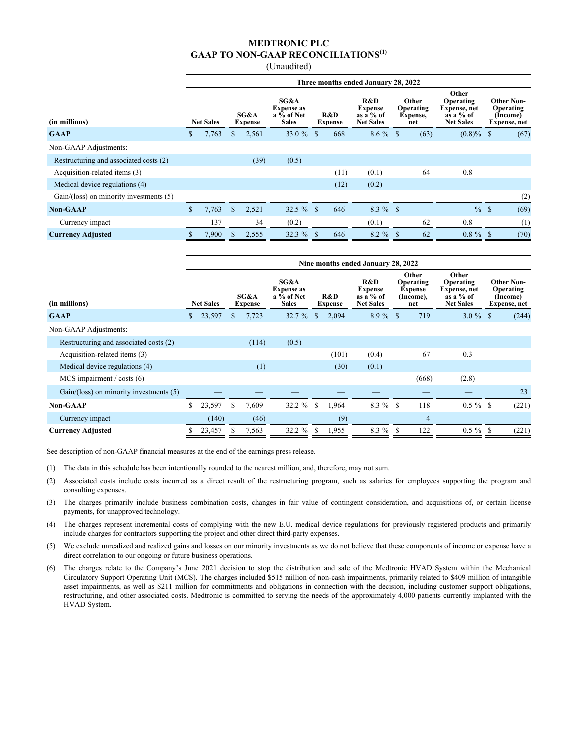(Unaudited)

|                                              | Three months ended January 28, 2022 |                                            |     |                                                                  |             |                                                                                   |      |                                       |  |                                                                              |              |                                                            |      |
|----------------------------------------------|-------------------------------------|--------------------------------------------|-----|------------------------------------------------------------------|-------------|-----------------------------------------------------------------------------------|------|---------------------------------------|--|------------------------------------------------------------------------------|--------------|------------------------------------------------------------|------|
| (in millions)                                |                                     | SG&A<br><b>Net Sales</b><br><b>Expense</b> |     | SG&A<br><b>Expense as</b><br>$a\bar{v}_0$ of Net<br><b>Sales</b> |             | R&D<br><b>Expense</b><br>R&D<br>as a $%$ of<br><b>Net Sales</b><br><b>Expense</b> |      | Other<br>Operating<br>Expense,<br>net |  | Other<br><b>Operating</b><br>Expense, net<br>as a $%$ of<br><b>Net Sales</b> |              | <b>Other Non-</b><br>Operating<br>(Income)<br>Expense, net |      |
| <b>GAAP</b>                                  | S.                                  | 7,763                                      | S   | 2,561                                                            | 33.0 $%$ \$ |                                                                                   | 668  | $8.6 \%$ \$                           |  | (63)                                                                         | $(0.8)\%$ \$ |                                                            | (67) |
| Non-GAAP Adjustments:                        |                                     |                                            |     |                                                                  |             |                                                                                   |      |                                       |  |                                                                              |              |                                                            |      |
| Restructuring and associated costs (2)       |                                     |                                            |     | (39)                                                             | (0.5)       |                                                                                   |      |                                       |  |                                                                              |              |                                                            |      |
| Acquisition-related items (3)                |                                     |                                            |     |                                                                  |             |                                                                                   | (11) | (0.1)                                 |  | 64                                                                           | 0.8          |                                                            |      |
| Medical device regulations (4)               |                                     |                                            |     |                                                                  |             |                                                                                   | (12) | (0.2)                                 |  |                                                                              |              |                                                            |      |
| $Gain/ (loss)$ on minority investments $(5)$ |                                     |                                            |     |                                                                  |             |                                                                                   |      |                                       |  |                                                                              |              |                                                            | (2)  |
| <b>Non-GAAP</b>                              | S.                                  | 7,763                                      | \$. | 2,521                                                            | 32.5 $%$ \$ |                                                                                   | 646  | $8.3 \%$ \$                           |  |                                                                              | $-$ % \$     |                                                            | (69) |
| Currency impact                              |                                     | 137                                        |     | 34                                                               | (0.2)       |                                                                                   |      | (0.1)                                 |  | 62                                                                           | 0.8          |                                                            | (1)  |
| <b>Currency Adjusted</b>                     |                                     | 7,900                                      |     | 2,555                                                            | 32.3%       | - \$                                                                              | 646  | $8.2 \%$ \$                           |  | 62                                                                           | $0.8 \%$ \$  |                                                            | (70) |

|                                              | Nine months ended January 28, 2022 |                  |    |                        |                                                                  |    |                       |                                                          |    |                                                          |                                                                       |    |                                                            |
|----------------------------------------------|------------------------------------|------------------|----|------------------------|------------------------------------------------------------------|----|-----------------------|----------------------------------------------------------|----|----------------------------------------------------------|-----------------------------------------------------------------------|----|------------------------------------------------------------|
| (in millions)                                |                                    | <b>Net Sales</b> |    | SG&A<br><b>Expense</b> | SG&A<br><b>Expense as</b><br>$a\bar{v}_0$ of Net<br><b>Sales</b> |    | R&D<br><b>Expense</b> | R&D<br><b>Expense</b><br>as a $%$ of<br><b>Net Sales</b> |    | Other<br>Operating<br><b>Expense</b><br>(Income),<br>net | Other<br>Operating<br>Expense, net<br>as a $%$ of<br><b>Net Sales</b> |    | <b>Other Non-</b><br>Operating<br>(Income)<br>Expense, net |
| <b>GAAP</b>                                  | \$                                 | 23,597           | S  | 7,723                  | 32.7%                                                            | \$ | 2,094                 | $8.9\%$ \$                                               |    | 719                                                      | $3.0 \%$ \$                                                           |    | (244)                                                      |
| Non-GAAP Adjustments:                        |                                    |                  |    |                        |                                                                  |    |                       |                                                          |    |                                                          |                                                                       |    |                                                            |
| Restructuring and associated costs (2)       |                                    |                  |    | (114)                  | (0.5)                                                            |    |                       |                                                          |    |                                                          |                                                                       |    |                                                            |
| Acquisition-related items (3)                |                                    |                  |    |                        |                                                                  |    | (101)                 | (0.4)                                                    |    | 67                                                       | 0.3                                                                   |    |                                                            |
| Medical device regulations (4)               |                                    |                  |    | (1)                    |                                                                  |    | (30)                  | (0.1)                                                    |    |                                                          |                                                                       |    |                                                            |
| $MCS$ impairment / costs (6)                 |                                    |                  |    |                        |                                                                  |    |                       |                                                          |    | (668)                                                    | (2.8)                                                                 |    |                                                            |
| $Gain/ (loss)$ on minority investments $(5)$ |                                    |                  |    |                        |                                                                  |    |                       |                                                          |    |                                                          |                                                                       |    | 23                                                         |
| <b>Non-GAAP</b>                              | \$                                 | 23,597           | -S | 7,609                  | $32.2 \%$                                                        | -S | 1,964                 | $8.3 \%$ \$                                              |    | 118                                                      | $0.5 \%$ \$                                                           |    | (221)                                                      |
| Currency impact                              |                                    | (140)            |    | (46)                   |                                                                  |    | (9)                   |                                                          |    | $\overline{4}$                                           |                                                                       |    |                                                            |
| <b>Currency Adjusted</b>                     |                                    | 23,457           |    | 7,563                  | $32.2 \%$                                                        | -S | 1,955                 | $8.3\%$                                                  | -S | 122                                                      | $0.5 \%$                                                              | -S | (221)                                                      |

See description of non-GAAP financial measures at the end of the earnings press release.

- (1) The data in this schedule has been intentionally rounded to the nearest million, and, therefore, may not sum.
- (2) Associated costs include costs incurred as a direct result of the restructuring program, such as salaries for employees supporting the program and consulting expenses.
- (3) The charges primarily include business combination costs, changes in fair value of contingent consideration, and acquisitions of, or certain license payments, for unapproved technology.
- (4) The charges represent incremental costs of complying with the new E.U. medical device regulations for previously registered products and primarily include charges for contractors supporting the project and other direct third-party expenses.
- (5) We exclude unrealized and realized gains and losses on our minority investments as we do not believe that these components of income or expense have a direct correlation to our ongoing or future business operations.
- (6) The charges relate to the Company's June 2021 decision to stop the distribution and sale of the Medtronic HVAD System within the Mechanical Circulatory Support Operating Unit (MCS). The charges included \$515 million of non-cash impairments, primarily related to \$409 million of intangible asset impairments, as well as \$211 million for commitments and obligations in connection with the decision, including customer support obligations, restructuring, and other associated costs. Medtronic is committed to serving the needs of the approximately 4,000 patients currently implanted with the HVAD System.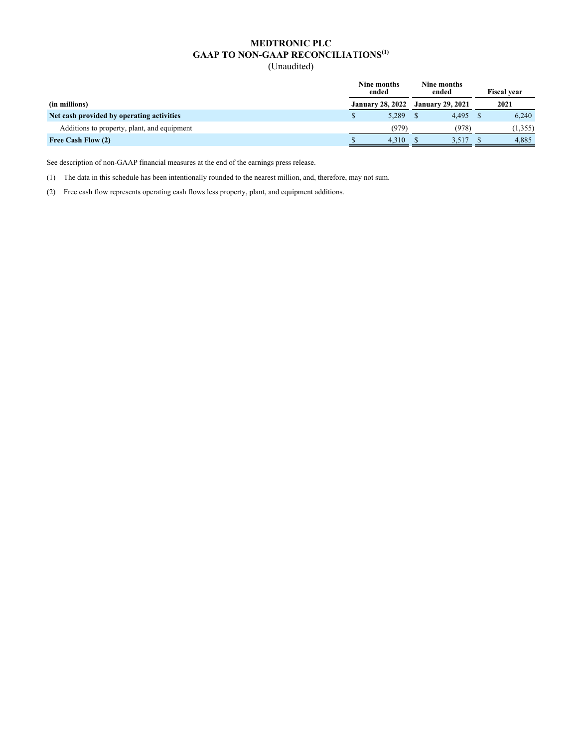(Unaudited)

|                                             | Nine months<br>ended    | Nine months<br>ended    | <b>Fiscal vear</b> |
|---------------------------------------------|-------------------------|-------------------------|--------------------|
| (in millions)                               | <b>January 28, 2022</b> | <b>January 29, 2021</b> | 2021               |
| Net cash provided by operating activities   | 5.289                   | 4.495                   | 6.240              |
| Additions to property, plant, and equipment | (979)                   | (978)                   | (1,355)            |
| Free Cash Flow (2)                          | 4.310                   | 3,517                   | 4,885              |

See description of non-GAAP financial measures at the end of the earnings press release.

(1) The data in this schedule has been intentionally rounded to the nearest million, and, therefore, may not sum.

(2) Free cash flow represents operating cash flows less property, plant, and equipment additions.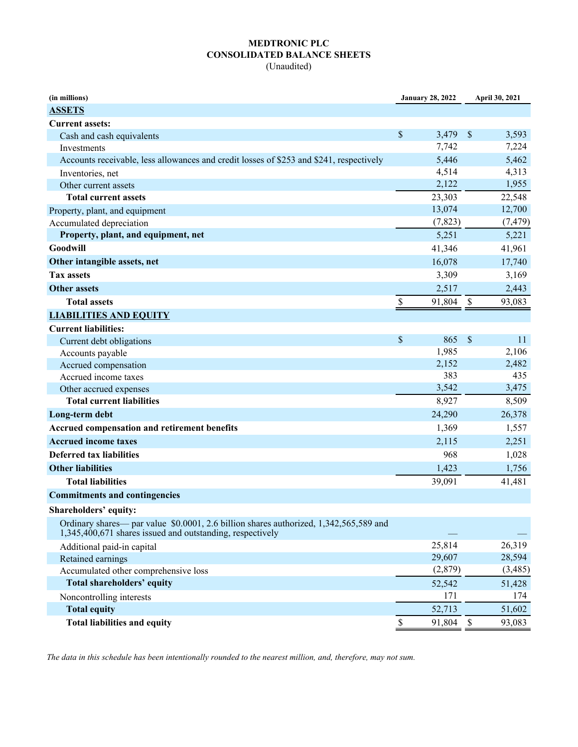## **MEDTRONIC PLC CONSOLIDATED BALANCE SHEETS**

(Unaudited)

| (in millions)                                                                           |                           | <b>January 28, 2022</b> |                           | April 30, 2021 |
|-----------------------------------------------------------------------------------------|---------------------------|-------------------------|---------------------------|----------------|
| <b>ASSETS</b>                                                                           |                           |                         |                           |                |
| <b>Current assets:</b>                                                                  |                           |                         |                           |                |
| Cash and cash equivalents                                                               | \$                        | 3,479                   | $\mathcal{S}$             | 3,593          |
| <b>Investments</b>                                                                      |                           | 7,742                   |                           | 7,224          |
| Accounts receivable, less allowances and credit losses of \$253 and \$241, respectively |                           | 5,446                   |                           | 5,462          |
| Inventories, net                                                                        |                           | 4,514                   |                           | 4,313          |
| Other current assets                                                                    |                           | 2,122                   |                           | 1,955          |
| <b>Total current assets</b>                                                             |                           | 23,303                  |                           | 22,548         |
| Property, plant, and equipment                                                          |                           | 13,074                  |                           | 12,700         |
| Accumulated depreciation                                                                |                           | (7,823)                 |                           | (7, 479)       |
| Property, plant, and equipment, net                                                     |                           | 5,251                   |                           | 5,221          |
| Goodwill                                                                                |                           | 41,346                  |                           | 41,961         |
| Other intangible assets, net                                                            |                           | 16,078                  |                           | 17,740         |
| <b>Tax assets</b>                                                                       |                           | 3,309                   |                           | 3,169          |
| <b>Other assets</b>                                                                     |                           | 2,517                   |                           | 2,443          |
| <b>Total assets</b>                                                                     | $\boldsymbol{\mathsf{S}}$ | 91,804                  | $\boldsymbol{\mathsf{S}}$ | 93,083         |
| <b>LIABILITIES AND EQUITY</b>                                                           |                           |                         |                           |                |
| <b>Current liabilities:</b>                                                             |                           |                         |                           |                |
| Current debt obligations                                                                | \$                        | 865                     | \$                        | 11             |
| Accounts payable                                                                        |                           | 1,985                   |                           | 2,106          |
| Accrued compensation                                                                    |                           | 2,152                   |                           | 2,482          |
| Accrued income taxes                                                                    |                           | 383                     |                           | 435            |
| Other accrued expenses                                                                  |                           | 3,542                   |                           | 3,475          |
| <b>Total current liabilities</b>                                                        |                           | 8,927                   |                           | 8,509          |
| Long-term debt                                                                          |                           | 24,290                  |                           | 26,378         |
| Accrued compensation and retirement benefits                                            |                           | 1,369                   |                           | 1,557          |
| <b>Accrued income taxes</b>                                                             |                           | 2,115                   |                           | 2,251          |
| <b>Deferred tax liabilities</b>                                                         |                           | 968                     |                           | 1,028          |
| <b>Other liabilities</b>                                                                |                           | 1,423                   |                           | 1,756          |
| <b>Total liabilities</b>                                                                |                           | 39,091                  |                           | 41,481         |
| <b>Commitments and contingencies</b>                                                    |                           |                         |                           |                |
| Shareholders' equity:                                                                   |                           |                         |                           |                |
| Ordinary shares— par value \$0.0001, 2.6 billion shares authorized, 1,342,565,589 and   |                           |                         |                           |                |
| 1,345,400,671 shares issued and outstanding, respectively                               |                           |                         |                           |                |
| Additional paid-in capital                                                              |                           | 25,814                  |                           | 26,319         |
| Retained earnings                                                                       |                           | 29,607                  |                           | 28,594         |
| Accumulated other comprehensive loss                                                    |                           | (2,879)                 |                           | (3,485)        |
| <b>Total shareholders' equity</b>                                                       |                           | 52,542                  |                           | 51,428         |
| Noncontrolling interests                                                                |                           | 171                     |                           | 174            |
| <b>Total equity</b>                                                                     |                           | 52,713                  |                           | 51,602         |
| <b>Total liabilities and equity</b>                                                     | $\mathbf{\mathcal{S}}$    | 91,804                  | $\boldsymbol{\mathsf{S}}$ | 93,083         |

*The data in this schedule has been intentionally rounded to the nearest million, and, therefore, may not sum.*